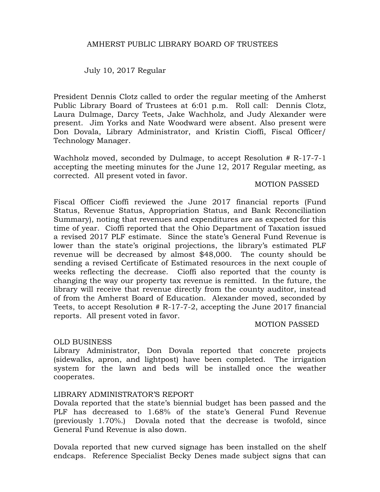# AMHERST PUBLIC LIBRARY BOARD OF TRUSTEES

July 10, 2017 Regular

President Dennis Clotz called to order the regular meeting of the Amherst Public Library Board of Trustees at 6:01 p.m. Roll call: Dennis Clotz, Laura Dulmage, Darcy Teets, Jake Wachholz, and Judy Alexander were present. Jim Yorks and Nate Woodward were absent. Also present were Don Dovala, Library Administrator, and Kristin Cioffi, Fiscal Officer/ Technology Manager.

Wachholz moved, seconded by Dulmage, to accept Resolution # R-17-7-1 accepting the meeting minutes for the June 12, 2017 Regular meeting, as corrected. All present voted in favor.

#### MOTION PASSED

Fiscal Officer Cioffi reviewed the June 2017 financial reports (Fund Status, Revenue Status, Appropriation Status, and Bank Reconciliation Summary), noting that revenues and expenditures are as expected for this time of year. Cioffi reported that the Ohio Department of Taxation issued a revised 2017 PLF estimate. Since the state's General Fund Revenue is lower than the state's original projections, the library's estimated PLF revenue will be decreased by almost \$48,000. The county should be sending a revised Certificate of Estimated resources in the next couple of weeks reflecting the decrease. Cioffi also reported that the county is changing the way our property tax revenue is remitted. In the future, the library will receive that revenue directly from the county auditor, instead of from the Amherst Board of Education. Alexander moved, seconded by Teets, to accept Resolution # R-17-7-2, accepting the June 2017 financial reports. All present voted in favor.

### MOTION PASSED

### OLD BUSINESS

Library Administrator, Don Dovala reported that concrete projects (sidewalks, apron, and lightpost) have been completed. The irrigation system for the lawn and beds will be installed once the weather cooperates.

### LIBRARY ADMINISTRATOR'S REPORT

Dovala reported that the state's biennial budget has been passed and the PLF has decreased to 1.68% of the state's General Fund Revenue (previously 1.70%.) Dovala noted that the decrease is twofold, since General Fund Revenue is also down.

Dovala reported that new curved signage has been installed on the shelf endcaps. Reference Specialist Becky Denes made subject signs that can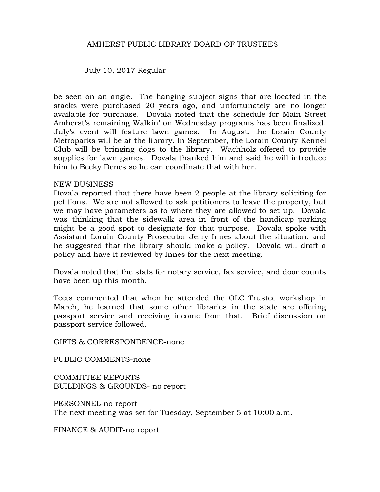# AMHERST PUBLIC LIBRARY BOARD OF TRUSTEES

July 10, 2017 Regular

be seen on an angle. The hanging subject signs that are located in the stacks were purchased 20 years ago, and unfortunately are no longer available for purchase. Dovala noted that the schedule for Main Street Amherst's remaining Walkin' on Wednesday programs has been finalized. July's event will feature lawn games. In August, the Lorain County Metroparks will be at the library. In September, the Lorain County Kennel Club will be bringing dogs to the library. Wachholz offered to provide supplies for lawn games. Dovala thanked him and said he will introduce him to Becky Denes so he can coordinate that with her.

### NEW BUSINESS

Dovala reported that there have been 2 people at the library soliciting for petitions. We are not allowed to ask petitioners to leave the property, but we may have parameters as to where they are allowed to set up. Dovala was thinking that the sidewalk area in front of the handicap parking might be a good spot to designate for that purpose. Dovala spoke with Assistant Lorain County Prosecutor Jerry Innes about the situation, and he suggested that the library should make a policy. Dovala will draft a policy and have it reviewed by Innes for the next meeting.

Dovala noted that the stats for notary service, fax service, and door counts have been up this month.

Teets commented that when he attended the OLC Trustee workshop in March, he learned that some other libraries in the state are offering passport service and receiving income from that. Brief discussion on passport service followed.

GIFTS & CORRESPONDENCE-none

PUBLIC COMMENTS-none

COMMITTEE REPORTS BUILDINGS & GROUNDS- no report

PERSONNEL-no report The next meeting was set for Tuesday, September 5 at 10:00 a.m.

FINANCE & AUDIT-no report